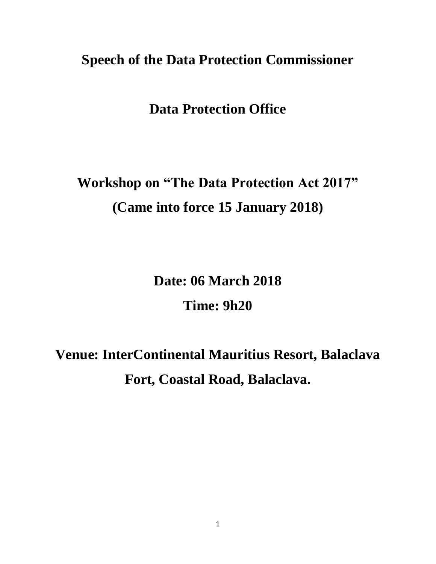# **Speech of the Data Protection Commissioner**

# **Data Protection Office**

# **Workshop on "The Data Protection Act 2017" (Came into force 15 January 2018)**

**Date: 06 March 2018 Time: 9h20**

# **Venue: InterContinental Mauritius Resort, Balaclava Fort, Coastal Road, Balaclava.**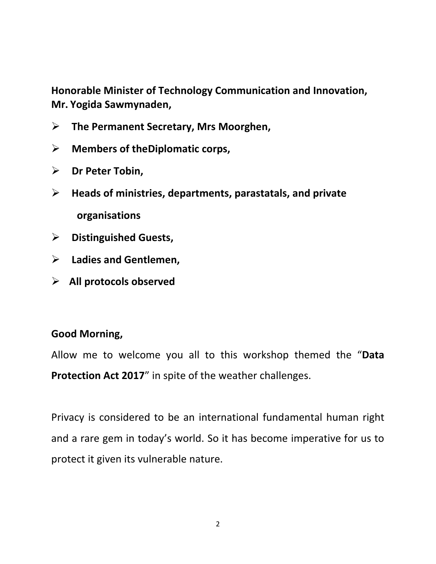**Honorable Minister of Technology Communication and Innovation, Mr. Yogida Sawmynaden,**

- **The Permanent Secretary, Mrs Moorghen,**
- **Members of theDiplomatic corps,**
- **Dr Peter Tobin,**
- **Heads of ministries, departments, parastatals, and private organisations**
- **Distinguished Guests,**
- **Ladies and Gentlemen,**
- **All protocols observed**

#### **Good Morning,**

Allow me to welcome you all to this workshop themed the "**Data Protection Act 2017**" in spite of the weather challenges.

Privacy is considered to be an international fundamental human right and a rare gem in today's world. So it has become imperative for us to protect it given its vulnerable nature.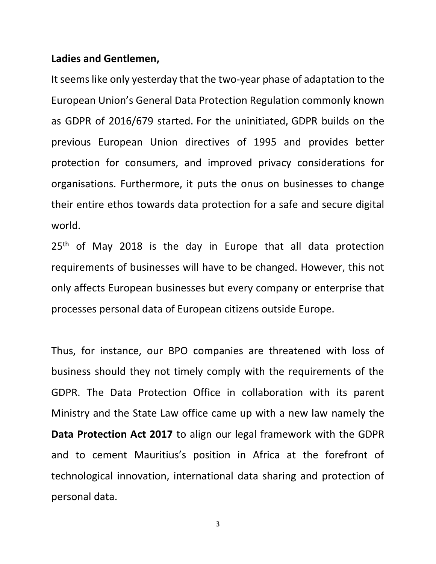#### **Ladies and Gentlemen,**

It seems like only yesterday that the two-year phase of adaptation to the European Union's General Data Protection Regulation commonly known as GDPR of 2016/679 started. For the uninitiated, GDPR builds on the previous European Union directives of 1995 and provides better protection for consumers, and improved privacy considerations for organisations. Furthermore, it puts the onus on businesses to change their entire ethos towards data protection for a safe and secure digital world.

25<sup>th</sup> of May 2018 is the day in Europe that all data protection requirements of businesses will have to be changed. However, this not only affects European businesses but every company or enterprise that processes personal data of European citizens outside Europe.

Thus, for instance, our BPO companies are threatened with loss of business should they not timely comply with the requirements of the GDPR. The Data Protection Office in collaboration with its parent Ministry and the State Law office came up with a new law namely the **Data Protection Act 2017** to align our legal framework with the GDPR and to cement Mauritius's position in Africa at the forefront of technological innovation, international data sharing and protection of personal data.

3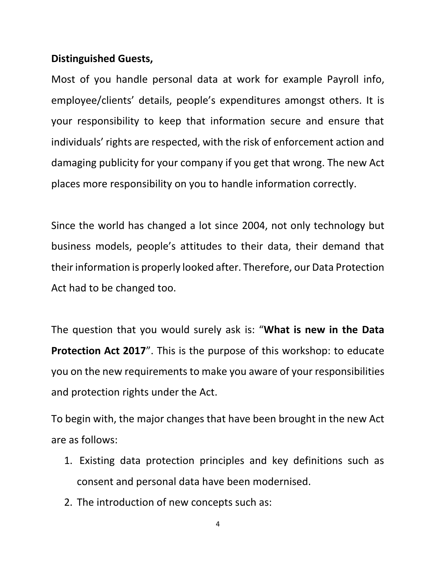#### **Distinguished Guests,**

Most of you handle personal data at work for example Payroll info, employee/clients' details, people's expenditures amongst others. It is your responsibility to keep that information secure and ensure that individuals' rights are respected, with the risk of enforcement action and damaging publicity for your company if you get that wrong. The new Act places more responsibility on you to handle information correctly.

Since the world has changed a lot since 2004, not only technology but business models, people's attitudes to their data, their demand that their information is properly looked after. Therefore, our Data Protection Act had to be changed too.

The question that you would surely ask is: "**What is new in the Data Protection Act 2017**". This is the purpose of this workshop: to educate you on the new requirements to make you aware of your responsibilities and protection rights under the Act.

To begin with, the major changes that have been brought in the new Act are as follows:

- 1. Existing data protection principles and key definitions such as consent and personal data have been modernised.
- 2. The introduction of new concepts such as: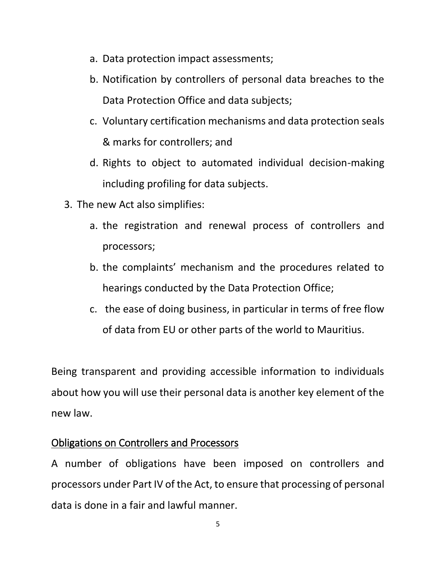- a. Data protection impact assessments;
- b. Notification by controllers of personal data breaches to the Data Protection Office and data subjects;
- c. Voluntary certification mechanisms and data protection seals & marks for controllers; and
- d. Rights to object to automated individual decision-making including profiling for data subjects.
- 3. The new Act also simplifies:
	- a. the registration and renewal process of controllers and processors;
	- b. the complaints' mechanism and the procedures related to hearings conducted by the Data Protection Office;
	- c. the ease of doing business, in particular in terms of free flow of data from EU or other parts of the world to Mauritius.

Being transparent and providing accessible information to individuals about how you will use their personal data is another key element of the new law.

# Obligations on Controllers and Processors

A number of obligations have been imposed on controllers and processors under Part IV of the Act, to ensure that processing of personal data is done in a fair and lawful manner.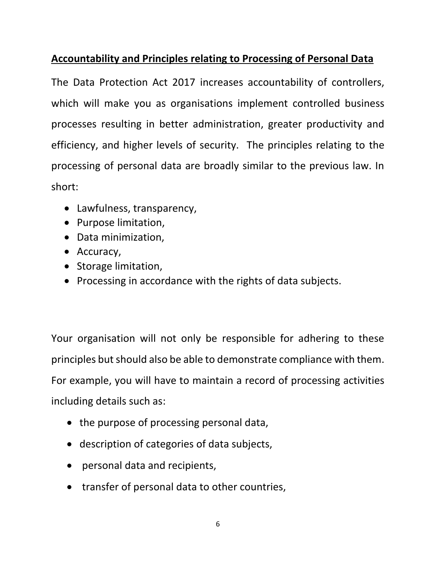# **Accountability and Principles relating to Processing of Personal Data**

The Data Protection Act 2017 increases accountability of controllers, which will make you as organisations implement controlled business processes resulting in better administration, greater productivity and efficiency, and higher levels of security. The principles relating to the processing of personal data are broadly similar to the previous law. In short:

- Lawfulness, transparency,
- Purpose limitation,
- Data minimization,
- Accuracy,
- Storage limitation,
- Processing in accordance with the rights of data subjects.

Your organisation will not only be responsible for adhering to these principles but should also be able to demonstrate compliance with them. For example, you will have to maintain a record of processing activities including details such as:

- the purpose of processing personal data,
- description of categories of data subjects,
- personal data and recipients,
- transfer of personal data to other countries,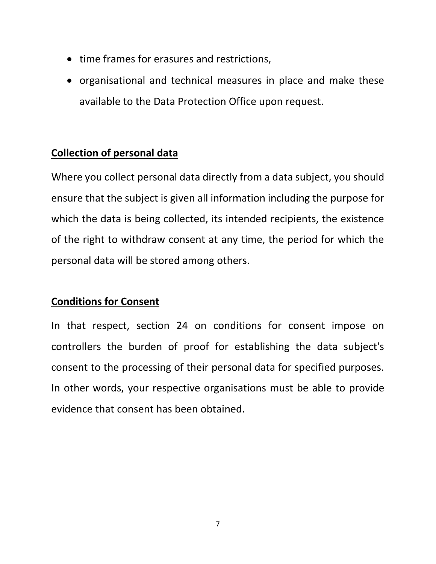- time frames for erasures and restrictions,
- organisational and technical measures in place and make these available to the Data Protection Office upon request.

#### **Collection of personal data**

Where you collect personal data directly from a data subject, you should ensure that the subject is given all information including the purpose for which the data is being collected, its intended recipients, the existence of the right to withdraw consent at any time, the period for which the personal data will be stored among others.

#### **Conditions for Consent**

In that respect, section 24 on conditions for consent impose on controllers the burden of proof for establishing the data subject's consent to the processing of their personal data for specified purposes. In other words, your respective organisations must be able to provide evidence that consent has been obtained.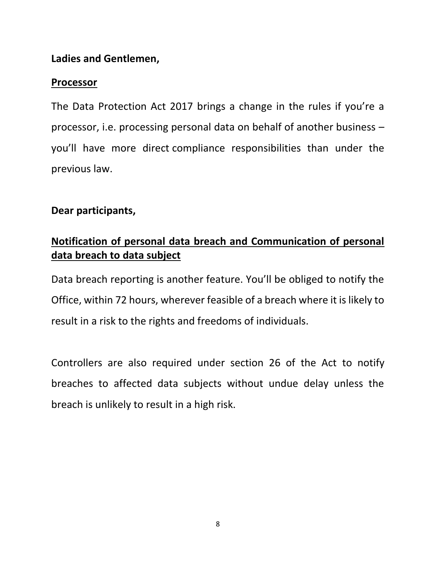#### **Ladies and Gentlemen,**

#### **Processor**

The Data Protection Act 2017 brings a change in the rules if you're a processor, i.e. processing personal data on behalf of another business – you'll have more direct compliance responsibilities than under the previous law.

# **Dear participants,**

# **Notification of personal data breach and Communication of personal data breach to data subject**

Data breach reporting is another feature. You'll be obliged to notify the Office, within 72 hours, wherever feasible of a breach where it is likely to result in a risk to the rights and freedoms of individuals.

Controllers are also required under section 26 of the Act to notify breaches to affected data subjects without undue delay unless the breach is unlikely to result in a high risk.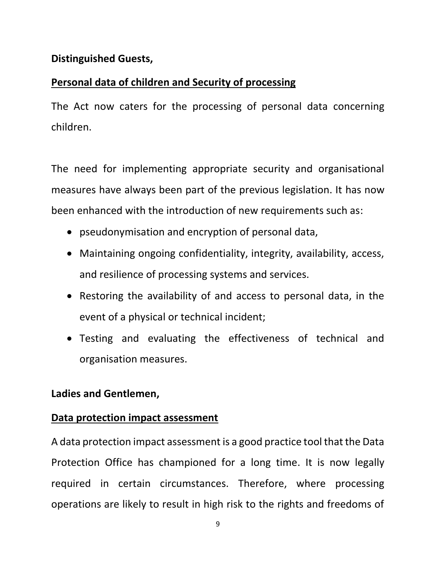#### **Distinguished Guests,**

# **Personal data of children and Security of processing**

The Act now caters for the processing of personal data concerning children.

The need for implementing appropriate security and organisational measures have always been part of the previous legislation. It has now been enhanced with the introduction of new requirements such as:

- pseudonymisation and encryption of personal data,
- Maintaining ongoing confidentiality, integrity, availability, access, and resilience of processing systems and services.
- Restoring the availability of and access to personal data, in the event of a physical or technical incident;
- Testing and evaluating the effectiveness of technical and organisation measures.

# **Ladies and Gentlemen,**

#### **Data protection impact assessment**

A data protection impact assessment is a good practice tool that the Data Protection Office has championed for a long time. It is now legally required in certain circumstances. Therefore, where processing operations are likely to result in high risk to the rights and freedoms of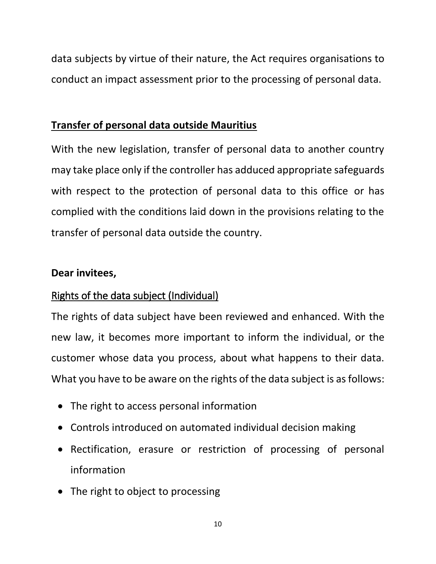data subjects by virtue of their nature, the Act requires organisations to conduct an impact assessment prior to the processing of personal data.

#### **Transfer of personal data outside Mauritius**

With the new legislation, transfer of personal data to another country may take place only if the controller has adduced appropriate safeguards with respect to the protection of personal data to this office or has complied with the conditions laid down in the provisions relating to the transfer of personal data outside the country.

#### **Dear invitees,**

# Rights of the data subject (Individual)

The rights of data subject have been reviewed and enhanced. With the new law, it becomes more important to inform the individual, or the customer whose data you process, about what happens to their data. What you have to be aware on the rights of the data subject is as follows:

- The right to access personal information
- Controls introduced on automated individual decision making
- Rectification, erasure or restriction of processing of personal information
- The right to object to processing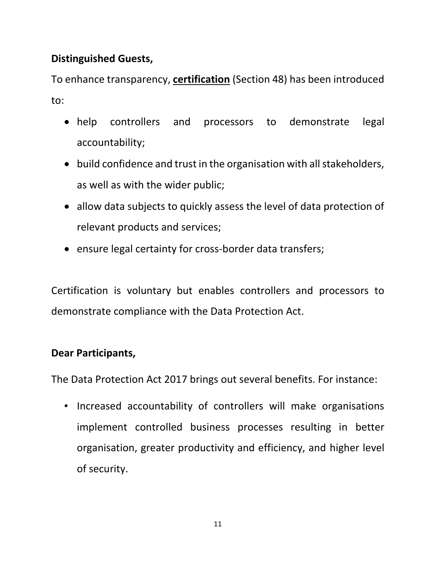# **Distinguished Guests,**

To enhance transparency, **certification** (Section 48) has been introduced to:

- help controllers and processors to demonstrate legal accountability;
- build confidence and trust in the organisation with all stakeholders, as well as with the wider public;
- allow data subjects to quickly assess the level of data protection of relevant products and services;
- ensure legal certainty for cross-border data transfers;

Certification is voluntary but enables controllers and processors to demonstrate compliance with the Data Protection Act.

# **Dear Participants,**

The Data Protection Act 2017 brings out several benefits. For instance:

• Increased accountability of controllers will make organisations implement controlled business processes resulting in better organisation, greater productivity and efficiency, and higher level of security.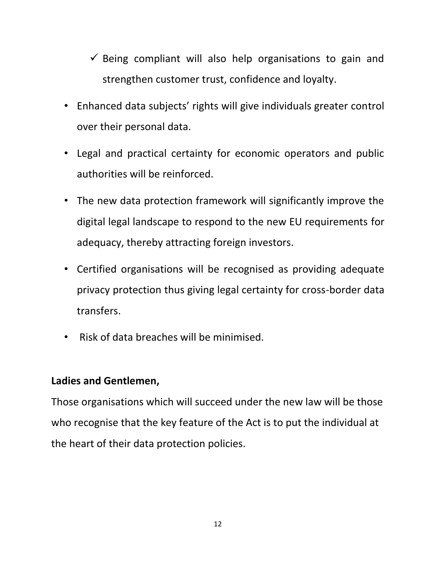- $\checkmark$  Being compliant will also help organisations to gain and strengthen customer trust, confidence and loyalty.
- Enhanced data subjects' rights will give individuals greater control over their personal data.
- Legal and practical certainty for economic operators and public authorities will be reinforced.
- The new data protection framework will significantly improve the digital legal landscape to respond to the new EU requirements for adequacy, thereby attracting foreign investors.
- Certified organisations will be recognised as providing adequate privacy protection thus giving legal certainty for cross-border data transfers.
- Risk of data breaches will be minimised.

# **Ladies and Gentlemen,**

Those organisations which will succeed under the new law will be those who recognise that the key feature of the Act is to put the individual at the heart of their data protection policies.